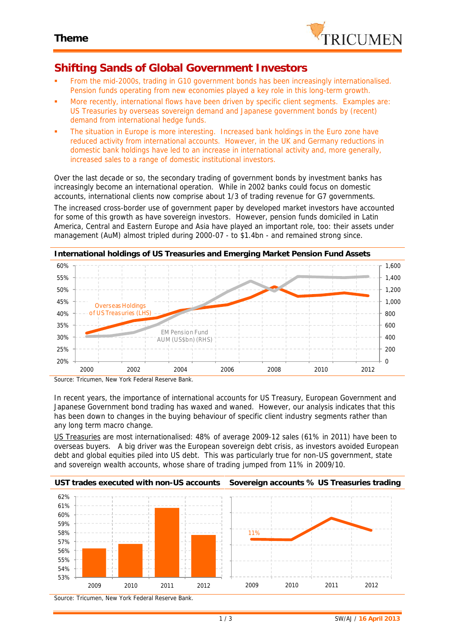

## **Shifting Sands of Global Government Investors**

- From the mid-2000s, trading in G10 government bonds has been increasingly internationalised. Pension funds operating from new economies played a key role in this long-term growth.
- More recently, international flows have been driven by specific client segments. Examples are: US Treasuries by overseas sovereign demand and Japanese government bonds by (recent) demand from international hedge funds.
- The situation in Europe is more interesting. Increased bank holdings in the Euro zone have reduced activity from international accounts. However, in the UK and Germany reductions in domestic bank holdings have led to an increase in international activity and, more generally, increased sales to a range of domestic institutional investors.

Over the last decade or so, the secondary trading of government bonds by investment banks has increasingly become an international operation. While in 2002 banks could focus on domestic accounts, international clients now comprise about 1/3 of trading revenue for G7 governments.

The increased cross-border use of government paper by developed market investors have accounted for some of this growth as have sovereign investors. However, pension funds domiciled in Latin America, Central and Eastern Europe and Asia have played an important role, too: their assets under management (AuM) almost tripled during 2000-07 - to \$1.4bn - and remained strong since.



*Source: Tricumen, New York Federal Reserve Bank.*

In recent years, the importance of international accounts for US Treasury, European Government and Japanese Government bond trading has waxed and waned. However, our analysis indicates that this has been down to changes in the buying behaviour of specific client industry segments rather than any long term macro change.

US Treasuries are most internationalised: 48% of average 2009-12 sales (61% in 2011) have been to overseas buyers. A big driver was the European sovereign debt crisis, as investors avoided European debt and global equities piled into US debt. This was particularly true for non-US government, state and sovereign wealth accounts, whose share of trading jumped from 11% in 2009/10.



*Source: Tricumen, New York Federal Reserve Bank.*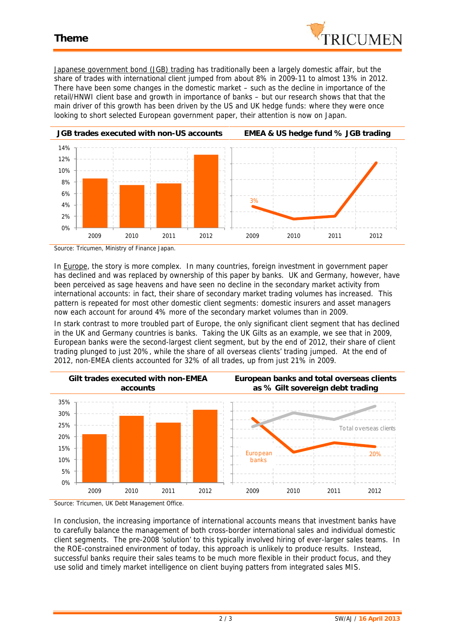

Japanese government bond (JGB) trading has traditionally been a largely domestic affair, but the share of trades with international client jumped from about 8% in 2009-11 to almost 13% in 2012. There have been some changes in the domestic market – such as the decline in importance of the retail/HNWI client base and growth in importance of banks – but our research shows that that the main driver of this growth has been driven by the US and UK hedge funds: where they were once looking to short selected European government paper, their attention is now on Japan.



*Source: Tricumen, Ministry of Finance Japan.*

In Europe, the story is more complex. In many countries, foreign investment in government paper has declined and was replaced by ownership of this paper by banks. UK and Germany, however, have been perceived as sage heavens and have seen no decline in the secondary market activity from international accounts: in fact, their share of secondary market trading volumes has increased. This pattern is repeated for most other domestic client segments: domestic insurers and asset managers now each account for around 4% more of the secondary market volumes than in 2009.

In stark contrast to more troubled part of Europe, the only significant client segment that has declined in the UK and Germany countries is banks. Taking the UK Gilts as an example, we see that in 2009, European banks were the second-largest client segment, but by the end of 2012, their share of client trading plunged to just 20%, while the share of all overseas clients' trading jumped. At the end of 2012, non-EMEA clients accounted for 32% of all trades, up from just 21% in 2009.



*Source: Tricumen, UK Debt Management Office.*

In conclusion, the increasing importance of international accounts means that investment banks have to carefully balance the management of both cross-border international sales and individual domestic client segments. The pre-2008 'solution' to this typically involved hiring of ever-larger sales teams. In the ROE-constrained environment of today, this approach is unlikely to produce results. Instead, successful banks require their sales teams to be much more flexible in their product focus, and they use solid and timely market intelligence on client buying patters from integrated sales MIS.